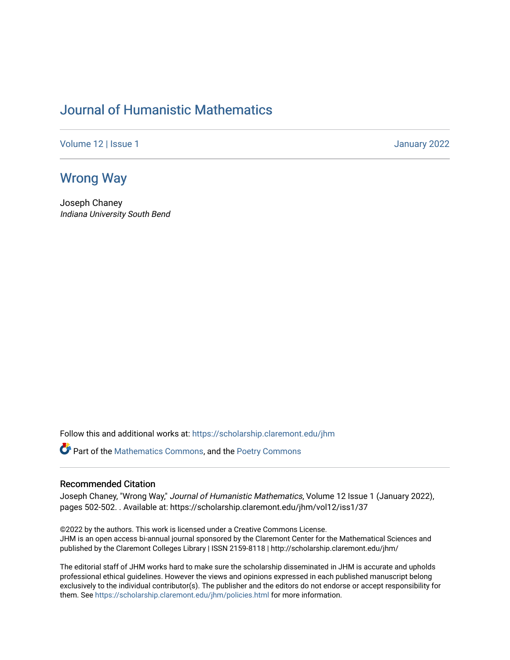## [Journal of Humanistic Mathematics](https://scholarship.claremont.edu/jhm)

[Volume 12](https://scholarship.claremont.edu/jhm/vol12) | Issue 1 January 2022

## [Wrong Way](https://scholarship.claremont.edu/jhm/vol12/iss1/37)

Joseph Chaney Indiana University South Bend

Follow this and additional works at: [https://scholarship.claremont.edu/jhm](https://scholarship.claremont.edu/jhm?utm_source=scholarship.claremont.edu%2Fjhm%2Fvol12%2Fiss1%2F37&utm_medium=PDF&utm_campaign=PDFCoverPages)

Part of the [Mathematics Commons](http://network.bepress.com/hgg/discipline/174?utm_source=scholarship.claremont.edu%2Fjhm%2Fvol12%2Fiss1%2F37&utm_medium=PDF&utm_campaign=PDFCoverPages), and the [Poetry Commons](http://network.bepress.com/hgg/discipline/1153?utm_source=scholarship.claremont.edu%2Fjhm%2Fvol12%2Fiss1%2F37&utm_medium=PDF&utm_campaign=PDFCoverPages) 

## Recommended Citation

Joseph Chaney, "Wrong Way," Journal of Humanistic Mathematics, Volume 12 Issue 1 (January 2022), pages 502-502. . Available at: https://scholarship.claremont.edu/jhm/vol12/iss1/37

©2022 by the authors. This work is licensed under a Creative Commons License. JHM is an open access bi-annual journal sponsored by the Claremont Center for the Mathematical Sciences and published by the Claremont Colleges Library | ISSN 2159-8118 | http://scholarship.claremont.edu/jhm/

The editorial staff of JHM works hard to make sure the scholarship disseminated in JHM is accurate and upholds professional ethical guidelines. However the views and opinions expressed in each published manuscript belong exclusively to the individual contributor(s). The publisher and the editors do not endorse or accept responsibility for them. See<https://scholarship.claremont.edu/jhm/policies.html> for more information.